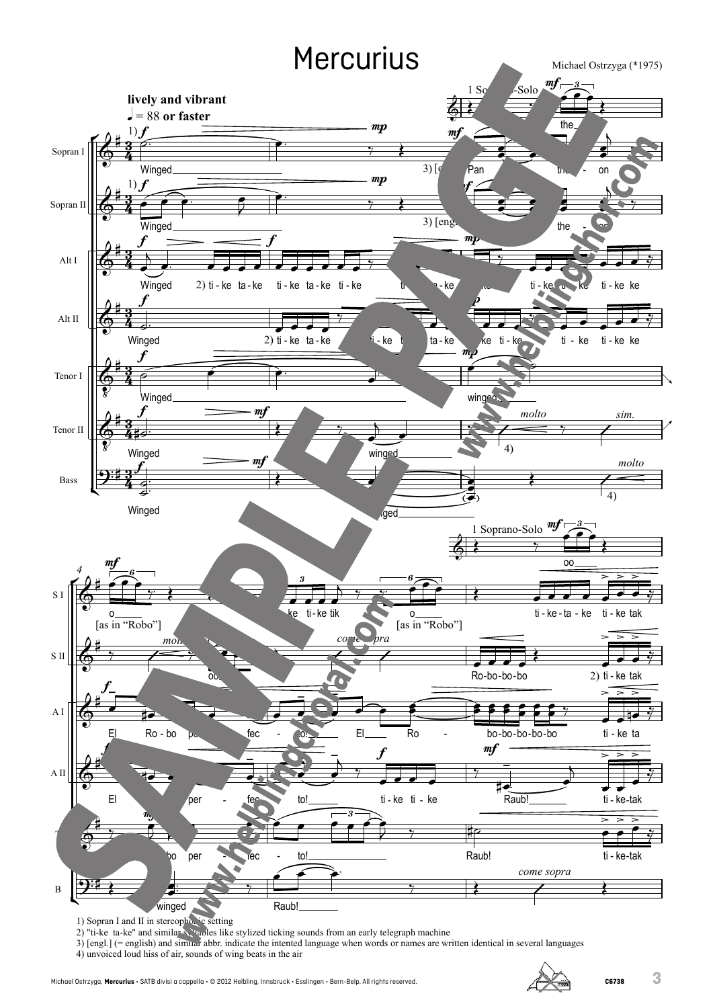

<sup>2) &</sup>quot;ti-ke ta-ke" and similar syllables like stylized ticking sounds from an early telegraph machine

3) [engl.] (= english) and similar abbr. indicate the intented language when words or names are written identical in several languages



<sup>4)</sup> unvoiced loud hiss of air, sounds of wing beats in the air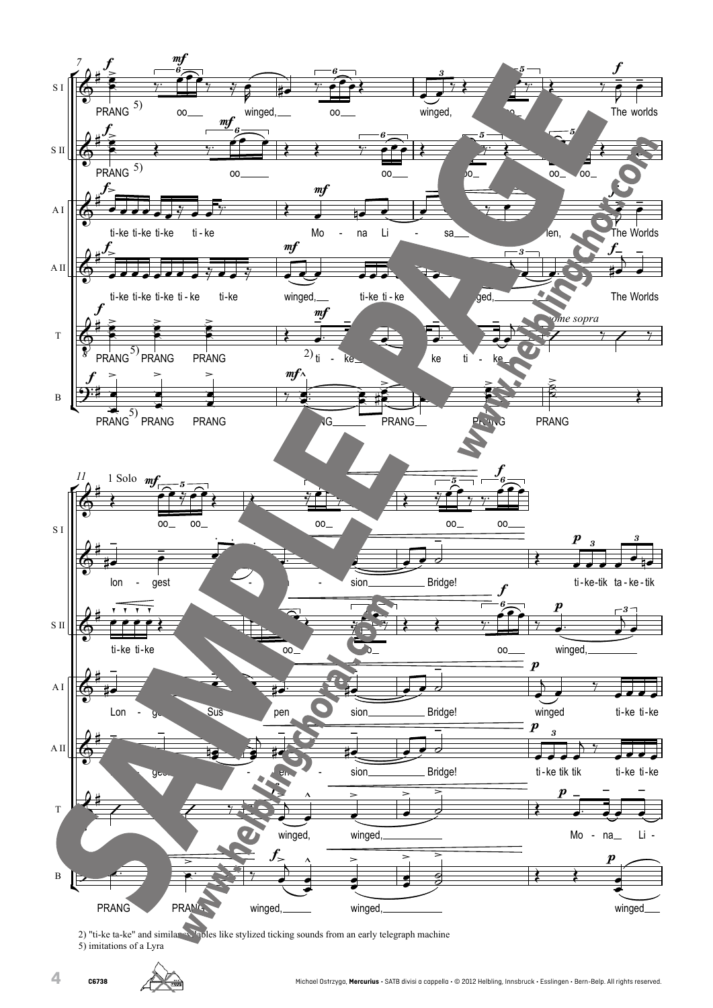

2) "ti-ke ta-ke" and similar syllables like stylized ticking sounds from an early telegraph machine 5) imitations of a Lyra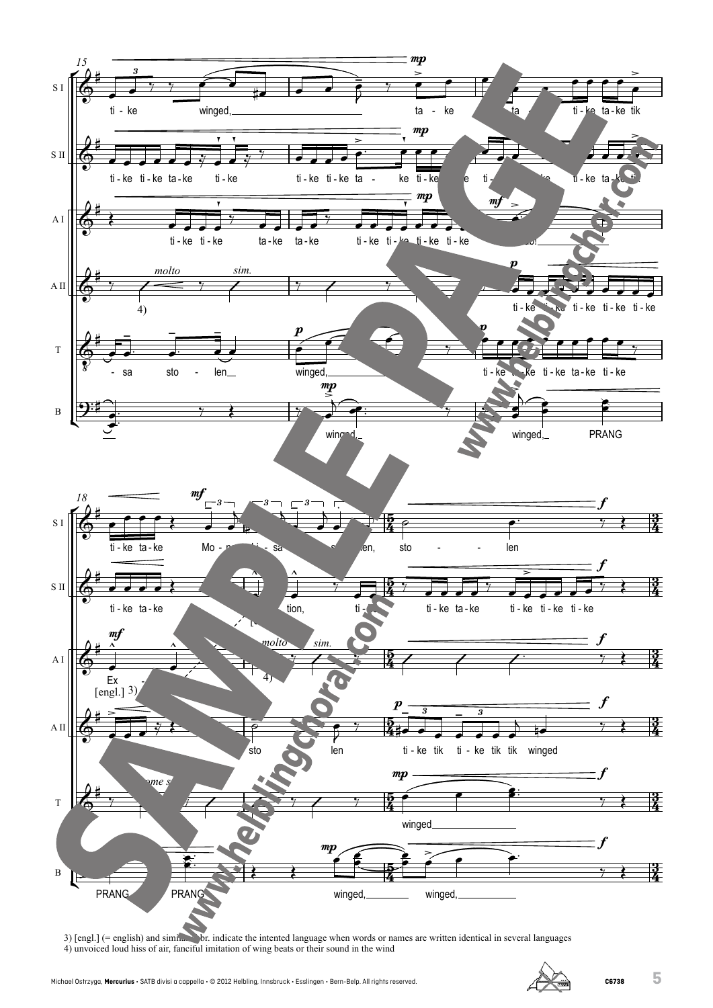

3)  $[engl.]$  (= english) and similar br. indicate the intented language when words or names are written identical in several languages 4) unvoiced loud hiss of air, fanciful imitation of wing beats or their sound in the wind

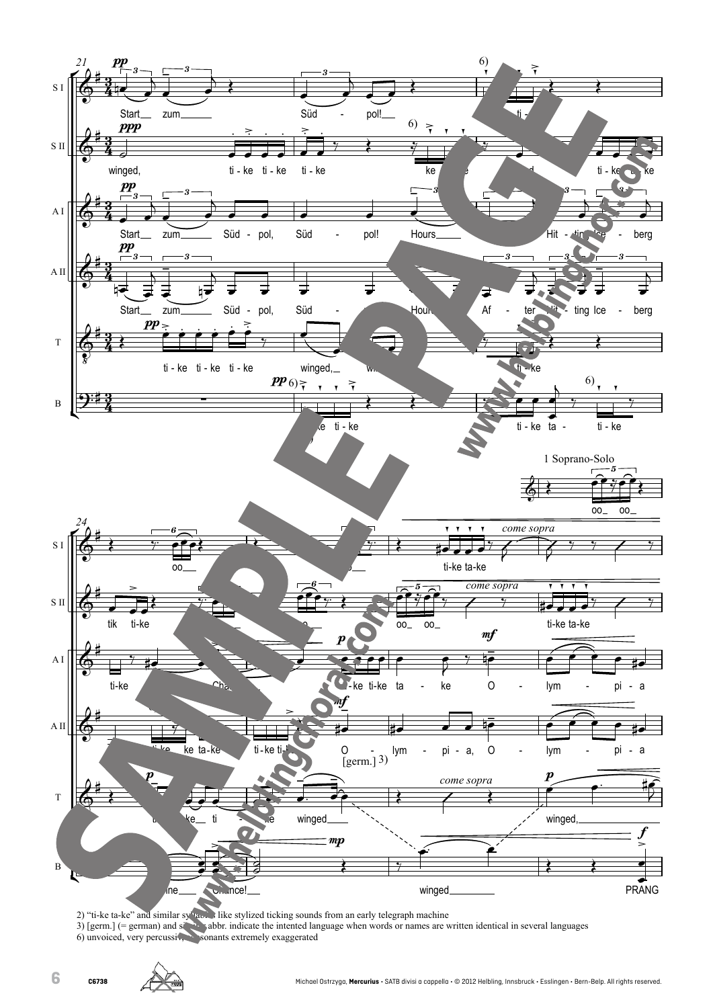

2) "ti-ke ta-ke" and similar syllables like stylized ticking sounds from an early telegraph machine

3) [germ.] (= german) and  $s_{\text{max}}$  abbr. indicate the intented language when words or names are written identical in several languages 6) unvoiced, very percussiv, consonants extremely exaggerated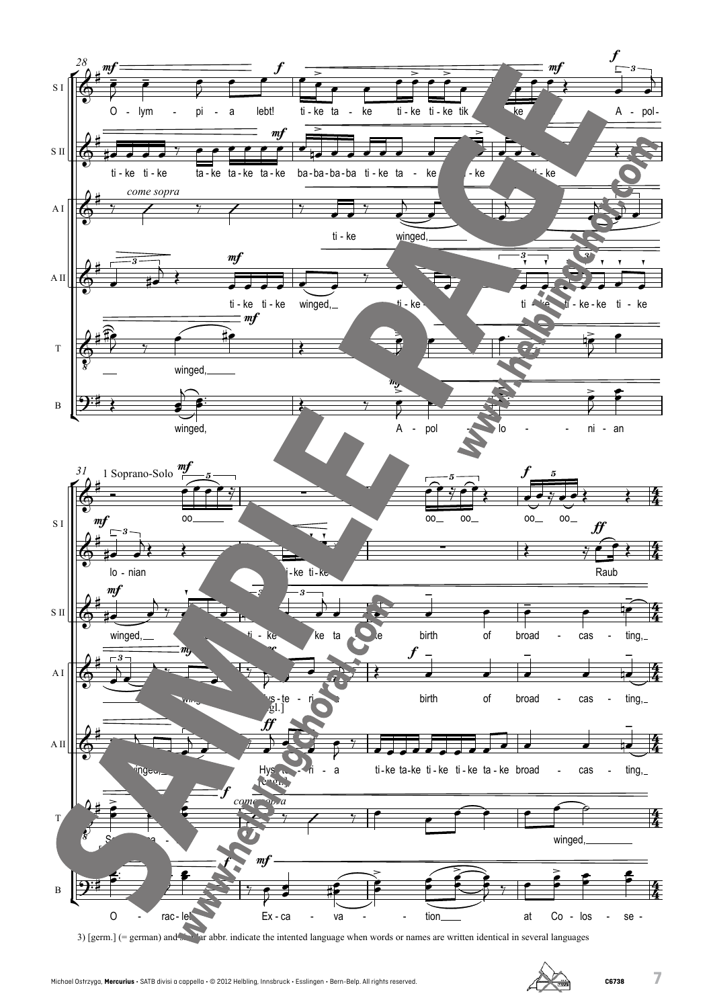

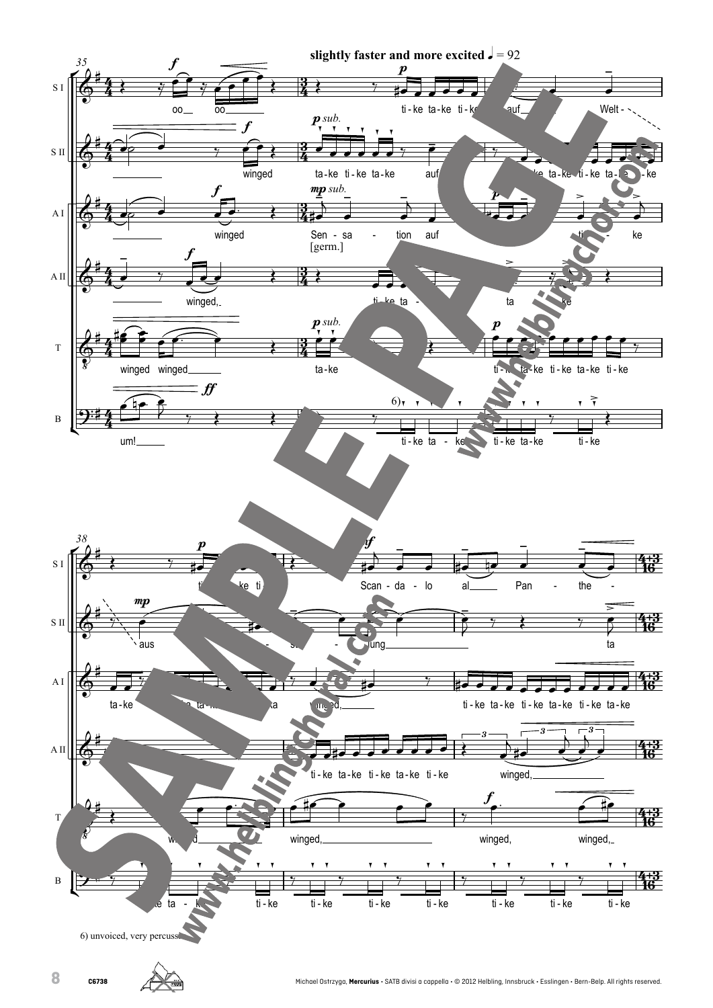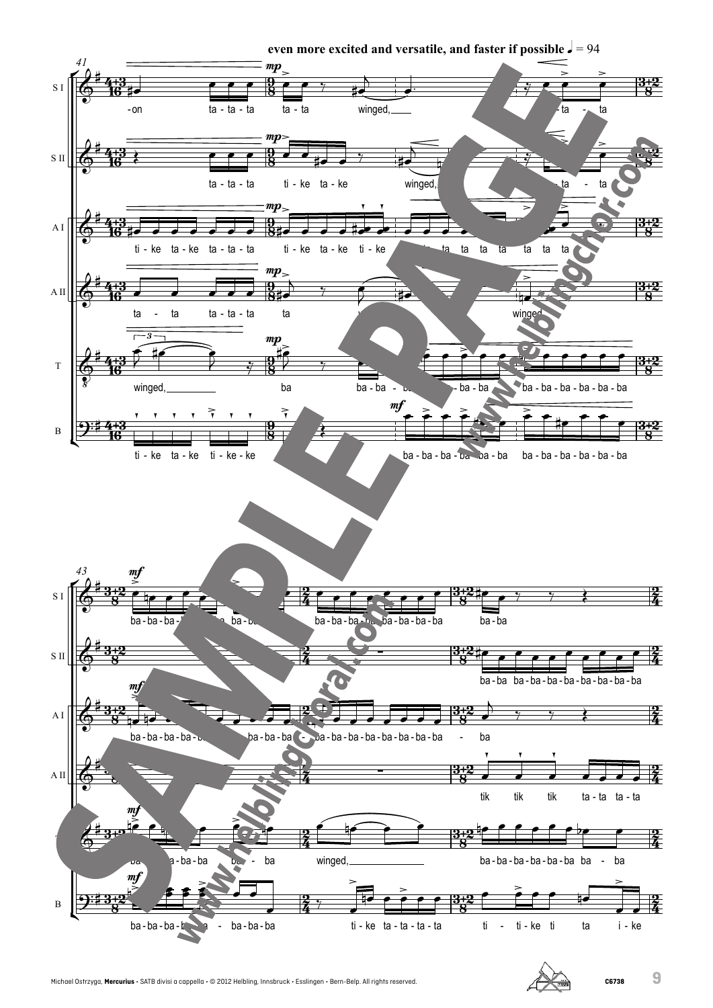

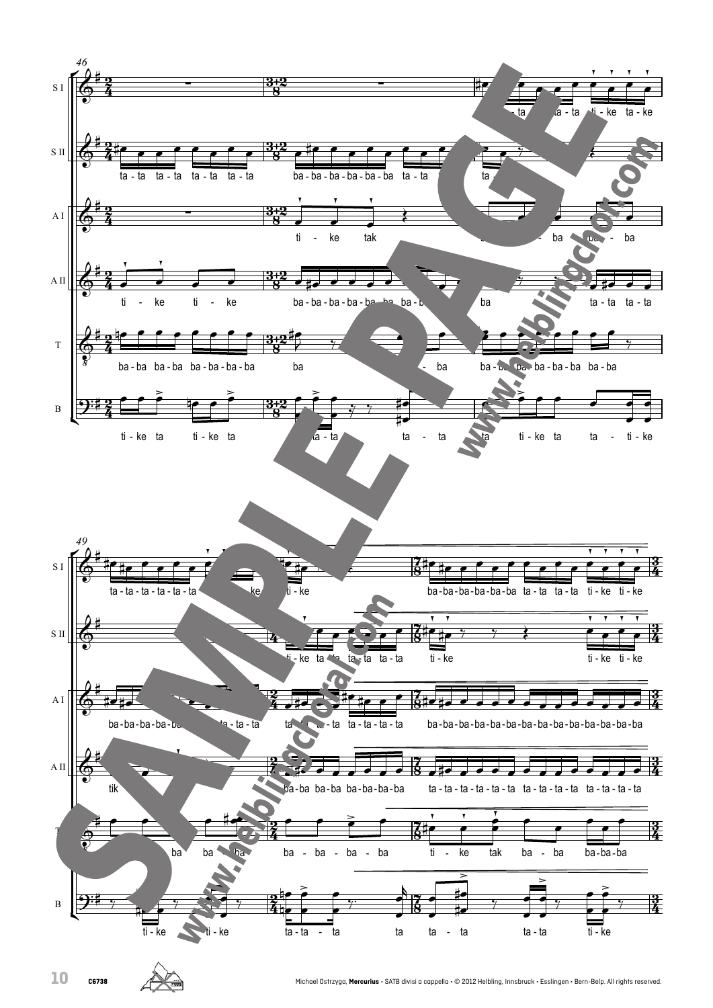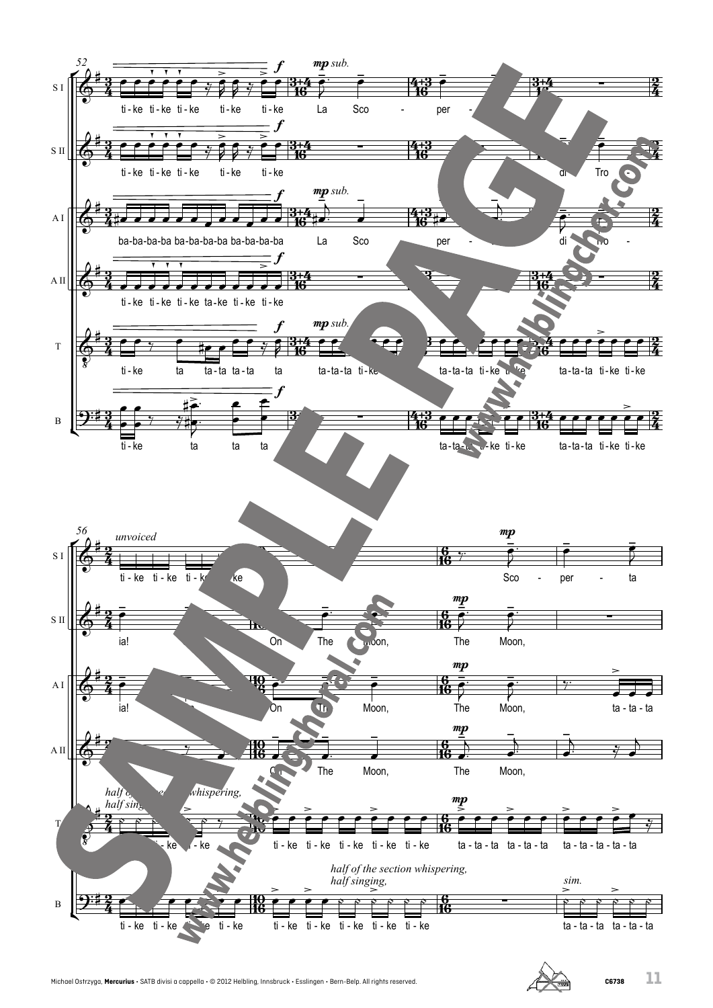

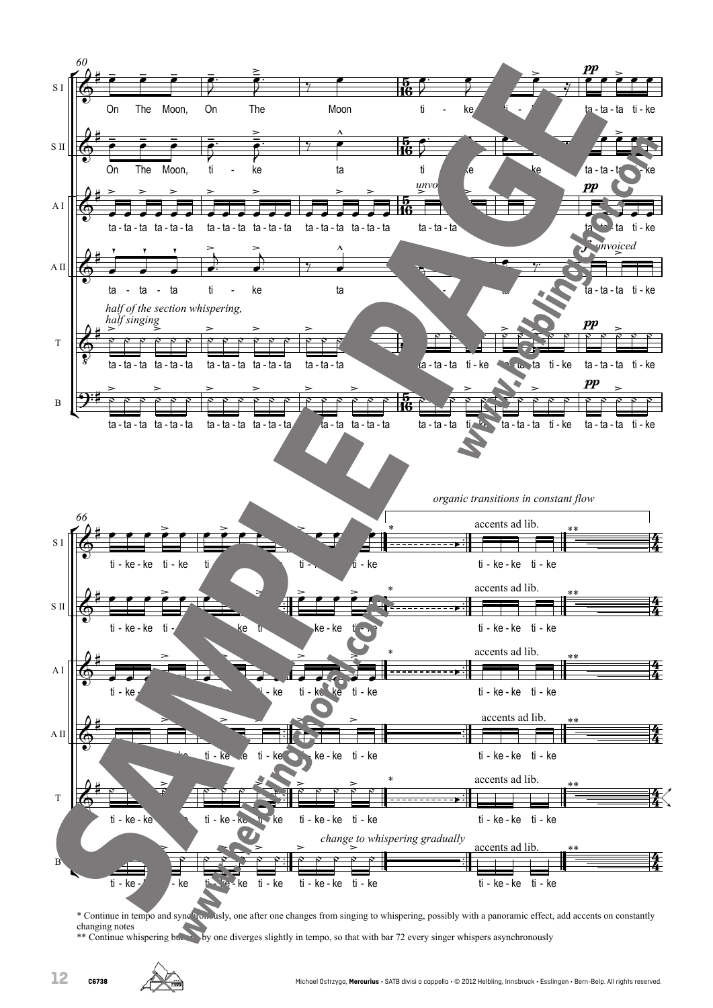

\* Continue in tempo and synchronously, one after one changes from singing to whispering, possibly with a panoramic effect, add accents on constantly changing notes<br>\*\* Continue whispering but

by one diverges slightly in tempo, so that with bar 72 every singer whispers asynchronously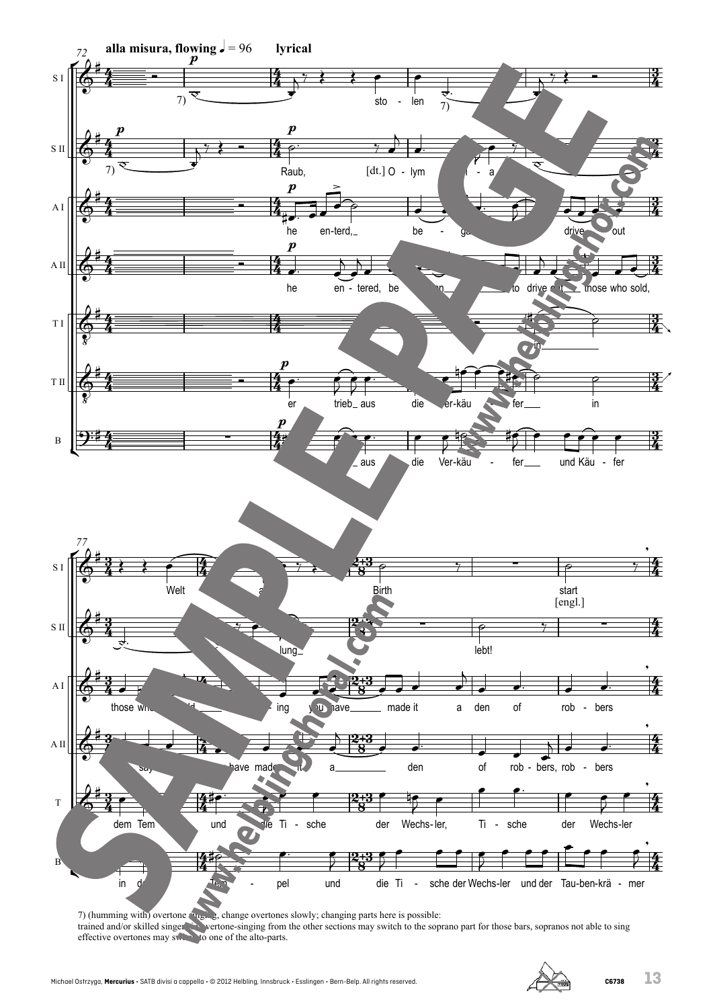

7) (humming with) overtone ("ng...g, change overtones slowly; changing parts here is possible: trained and/or skilled singer<br>
vertone-singing from<br>
effective overtones may switch to one of the alto-parts. vertone-singing from the other sections may switch to the soprano part for those bars, sopranos not able to sing

C6738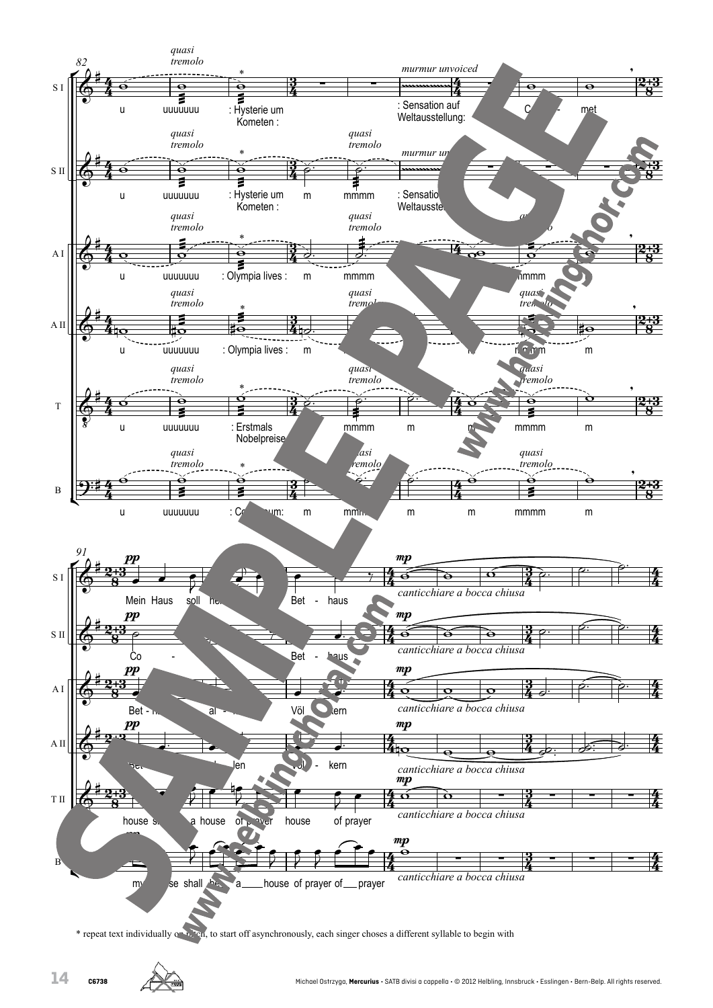

\* repeat text individually on pitch, to start off asynchronously, each singer choses a different syllable to begin with

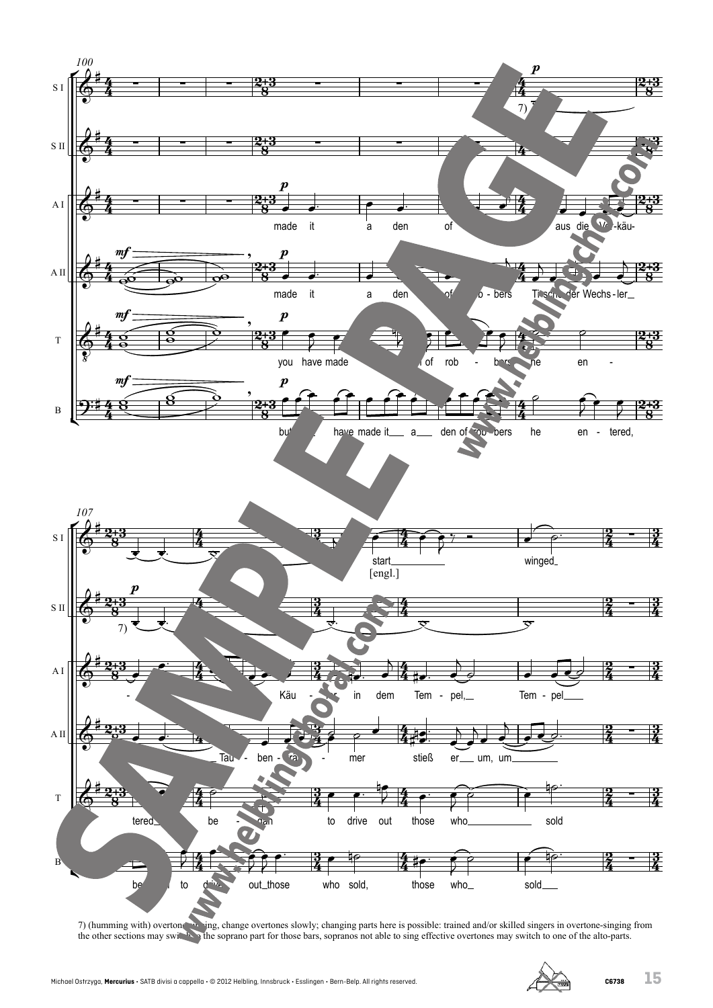

7) (humming with) overtone singing, change overtones slowly; changing parts here is possible: trained and/or skilled singers in overtone-singing from the other sections may switch to the soprano part for those bars, sopranos not able to sing effective overtones may switch to one of the alto-parts.

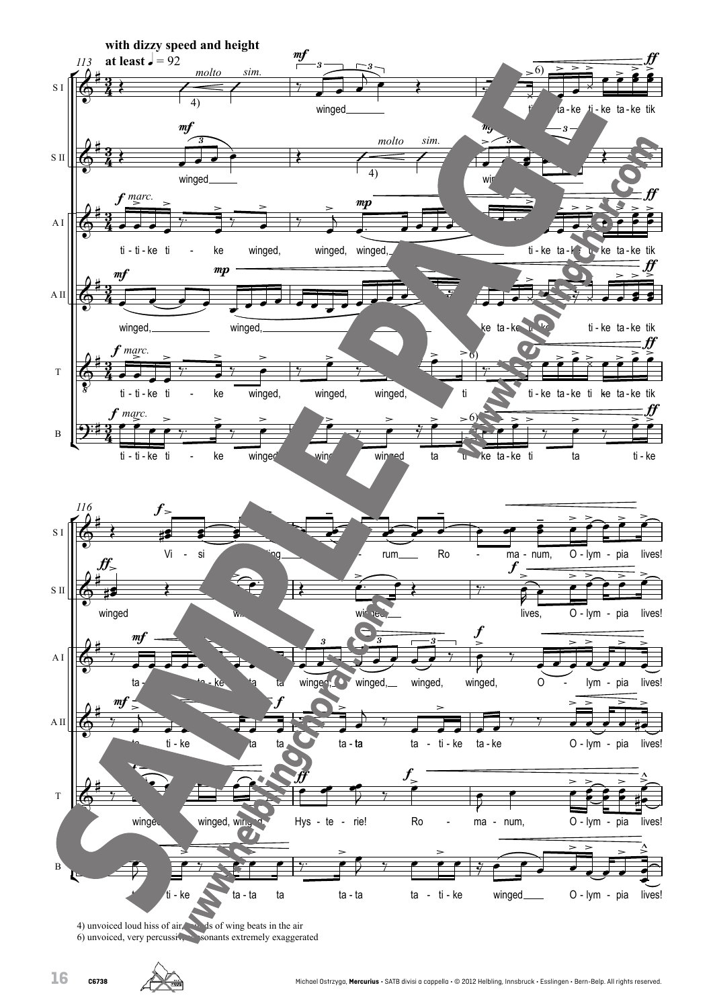

4) unvoiced loud hiss of air, so the solution of wing beats in the air 6) unvoiced, very percussiv, consonants extremely exaggerated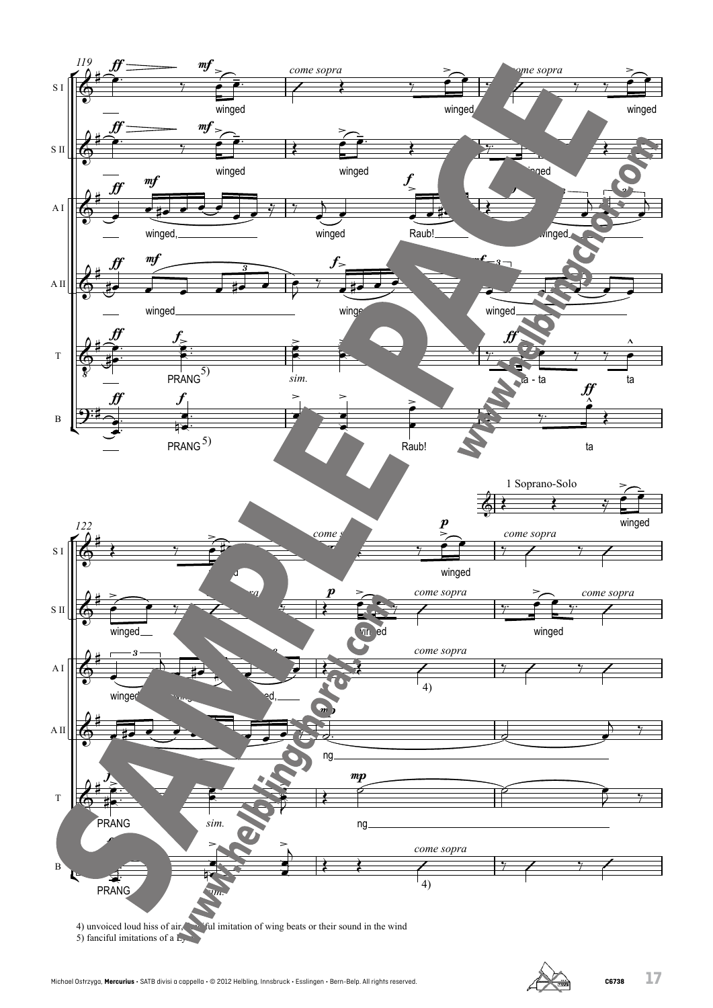

<sup>4</sup>ful imitation of wing beats or their sound in the wind 4) unvoiced loud hiss of air,<br>5) fanciful imitations of a Ly

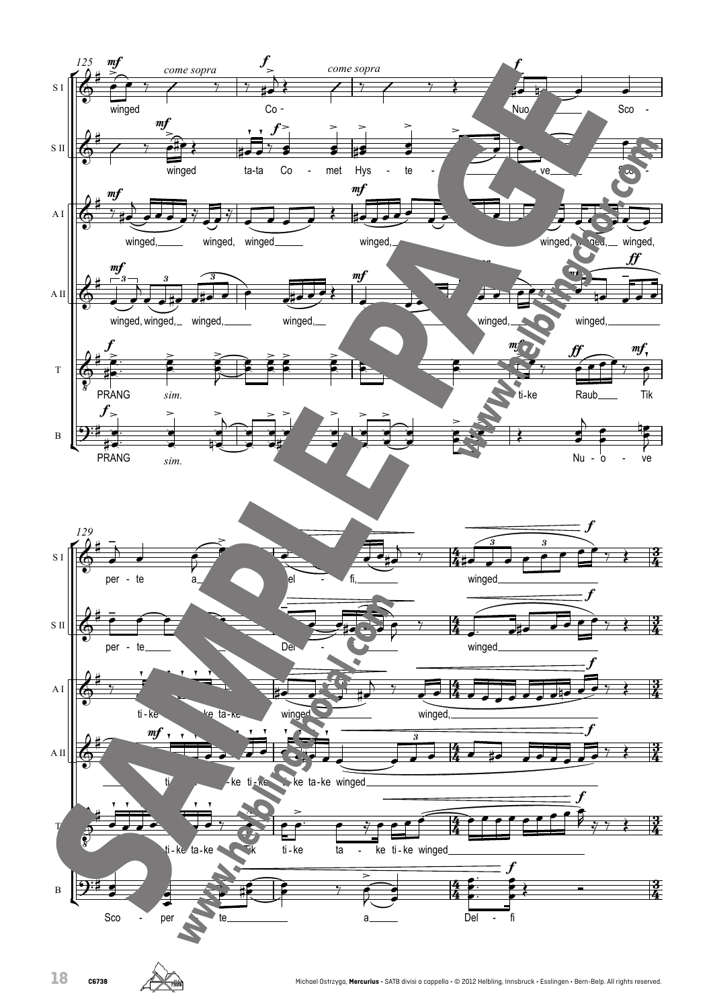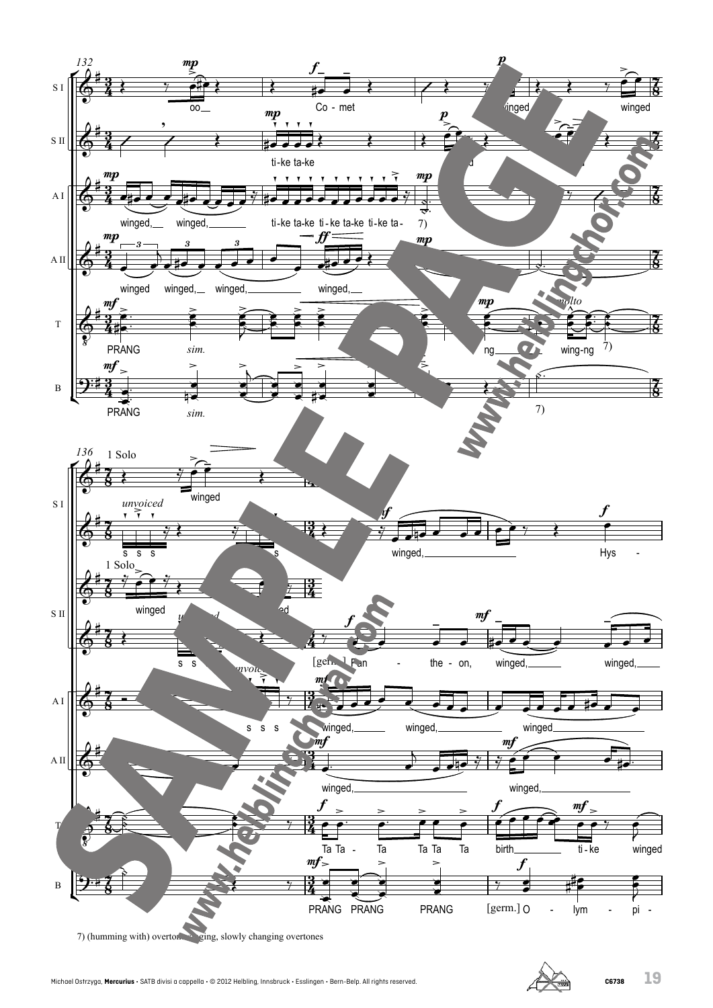

C6738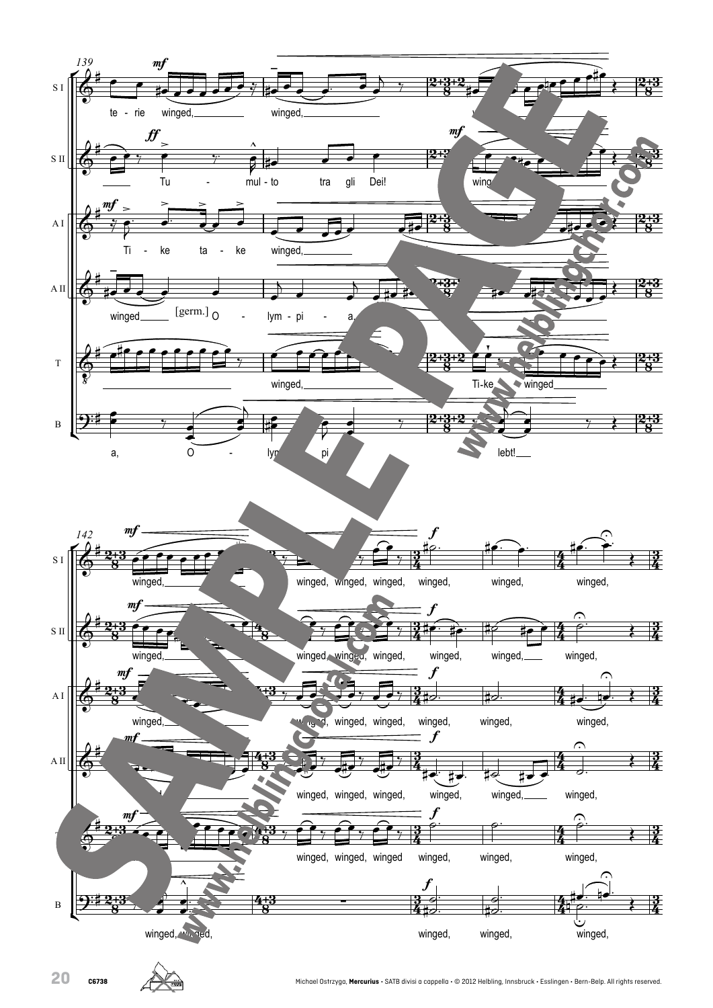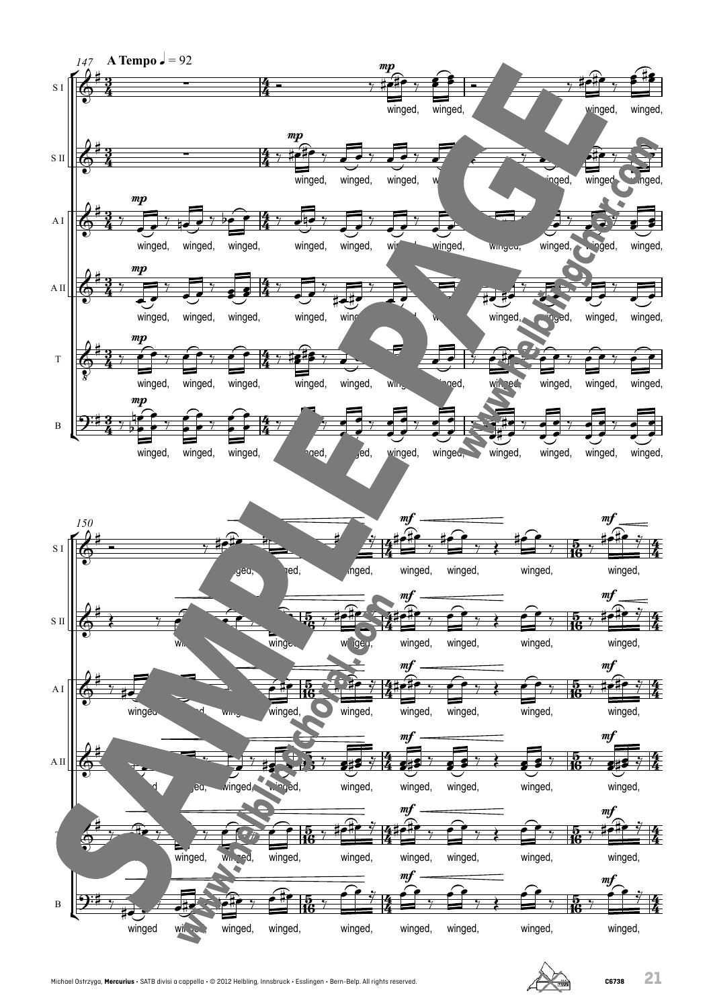

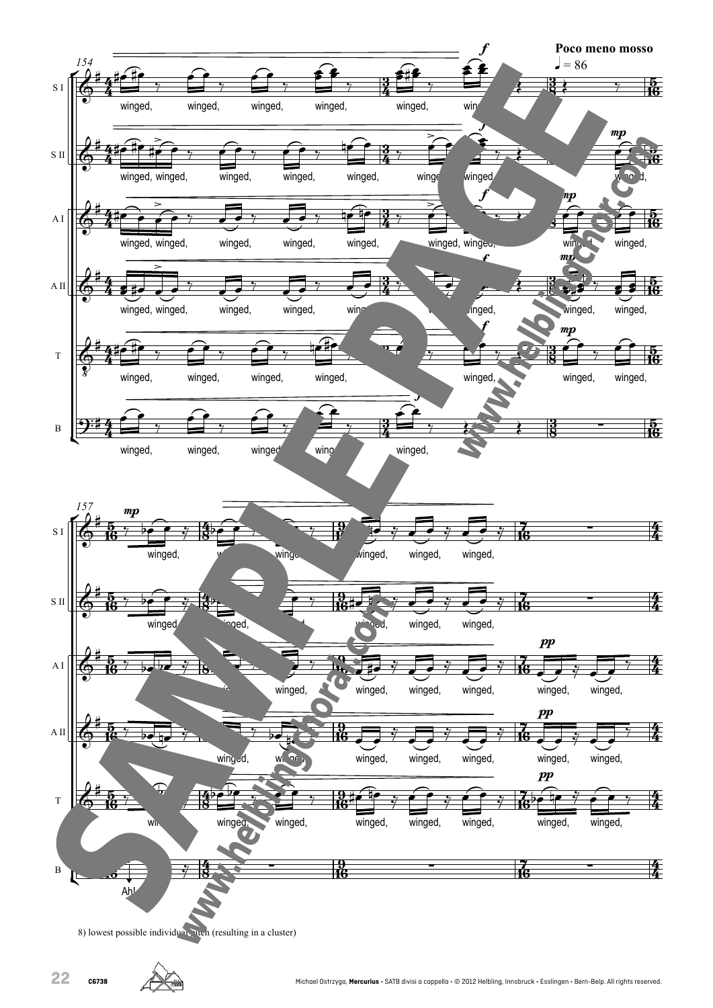